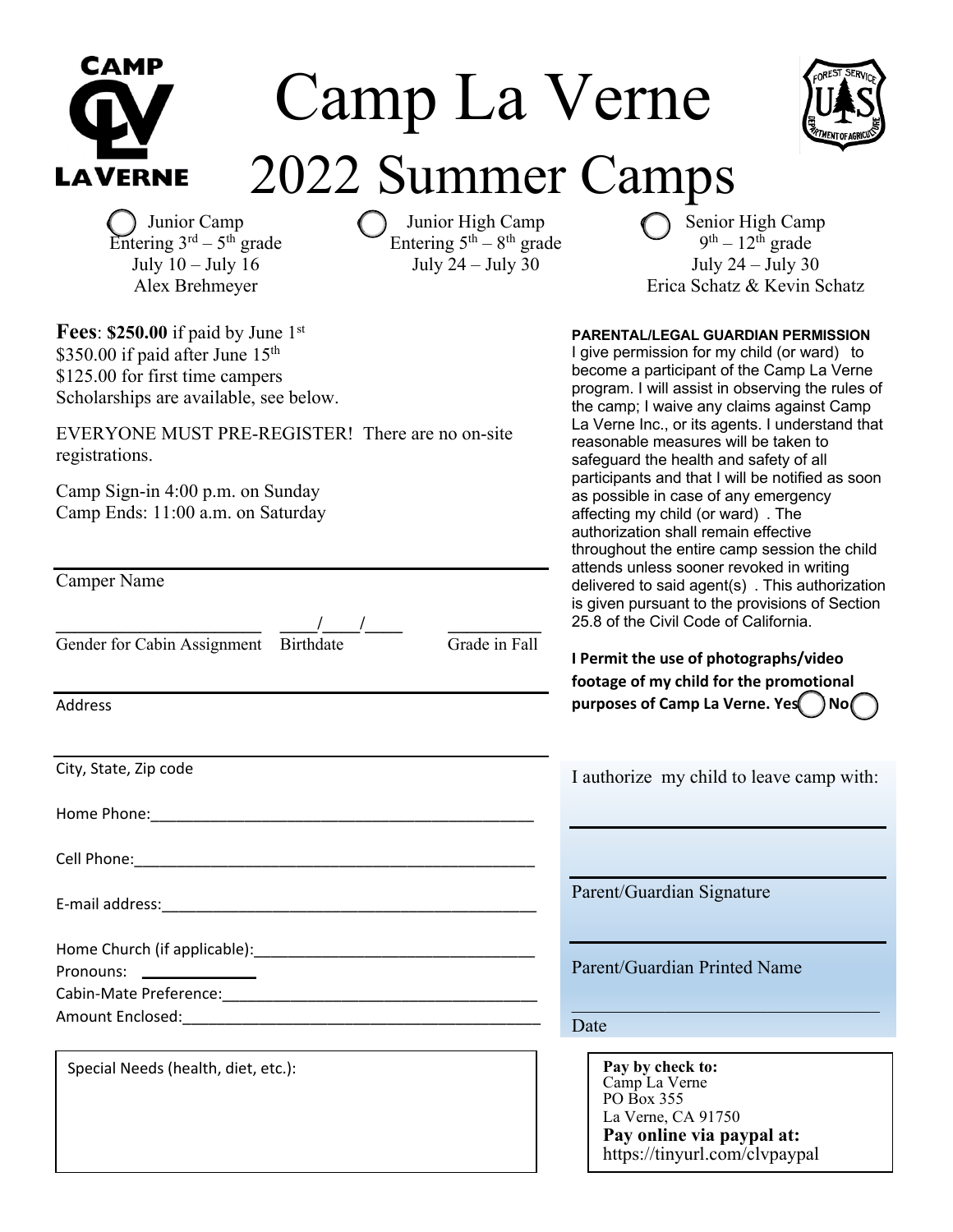| САМР<br>Camp La Verne                                                                                                                                                    |                                                                                                                                                       |
|--------------------------------------------------------------------------------------------------------------------------------------------------------------------------|-------------------------------------------------------------------------------------------------------------------------------------------------------|
| 2022 Summer Camps<br><b>LAVERNE</b>                                                                                                                                      |                                                                                                                                                       |
| Junior Camp<br>Junior High Camp<br>Entering $3^{rd} - 5^{th}$ grade<br>Entering $5th - 8th$ grade<br>July 24 - July 30<br>July $10 -$ July $16$<br>Alex Brehmeyer        | Senior H<br>$9^{th} - 12$<br>July 24<br>Erica Schatz                                                                                                  |
| <b>Fees: \$250.00</b> if paid by June $1st$<br>\$350.00 if paid after June 15 <sup>th</sup><br>\$125.00 for first time campers<br>Scholarships are available, see below. | <b>PARENTAL/LEGAL GUARD</b><br>I give permission for my c<br>become a participant of th<br>program. I will assist in ob<br>the camp; I waive any clai |
| EVERYONE MUST PRE-REGISTER! There are no on-site<br>registrations.                                                                                                       | La Verne Inc., or its agent<br>reasonable measures will<br>safeguard the health and                                                                   |
| Camp Sign-in 4:00 p.m. on Sunday<br>Camp Ends: 11:00 a.m. on Saturday                                                                                                    | participants and that I will<br>as possible in case of any<br>affecting my child (or ward<br>authorization shall remain<br>throughout the entire cam  |
| <b>Camper Name</b>                                                                                                                                                       | attends unless sooner rev<br>delivered to said agent(s)<br>is given pursuant to the pr<br>25.8 of the Civil Code of C                                 |
| Gender for Cabin Assignment Birthdate<br>Grade in Fall                                                                                                                   | I Permit the use of photo<br>footage of my child for th                                                                                               |
| <b>Address</b>                                                                                                                                                           | purposes of Camp La Ver                                                                                                                               |
| City, State, Zip code                                                                                                                                                    | I authorize my child to                                                                                                                               |
|                                                                                                                                                                          |                                                                                                                                                       |
|                                                                                                                                                                          |                                                                                                                                                       |
|                                                                                                                                                                          | Parent/Guardian Signatu                                                                                                                               |
| Pronouns: _______________                                                                                                                                                | Parent/Guardian Printed                                                                                                                               |
|                                                                                                                                                                          | Date                                                                                                                                                  |
| Special Needs (health, diet, etc.):                                                                                                                                      | Pay by check to:<br>Camp La Verne<br>PO Box 355<br>La Verne, CA 91750                                                                                 |



r High Camp  $12<sup>th</sup>$  grade  $24 - July 30$ tz & Kevin Schatz

### **PARENTAL/LEGAL GUARDIAN PERMISSION**

y child (or ward) to f the Camp La Verne observing the rules of claims against Camp ents. I understand that will be taken to nd safety of all will be notified as soon any emergency rard) . The ain effective amp session the child revoked in writing  $(s)$  . This authorization provisions of Section of California.

**I Permit the use of photographs/video footage of the promotional purposes of Camp La Verne. Yes / No** 

to leave camp with:

ature

ted Name

La Verne, CA 91750 **Pay online via paypal at:** <https://tinyurl.com/clvpaypal>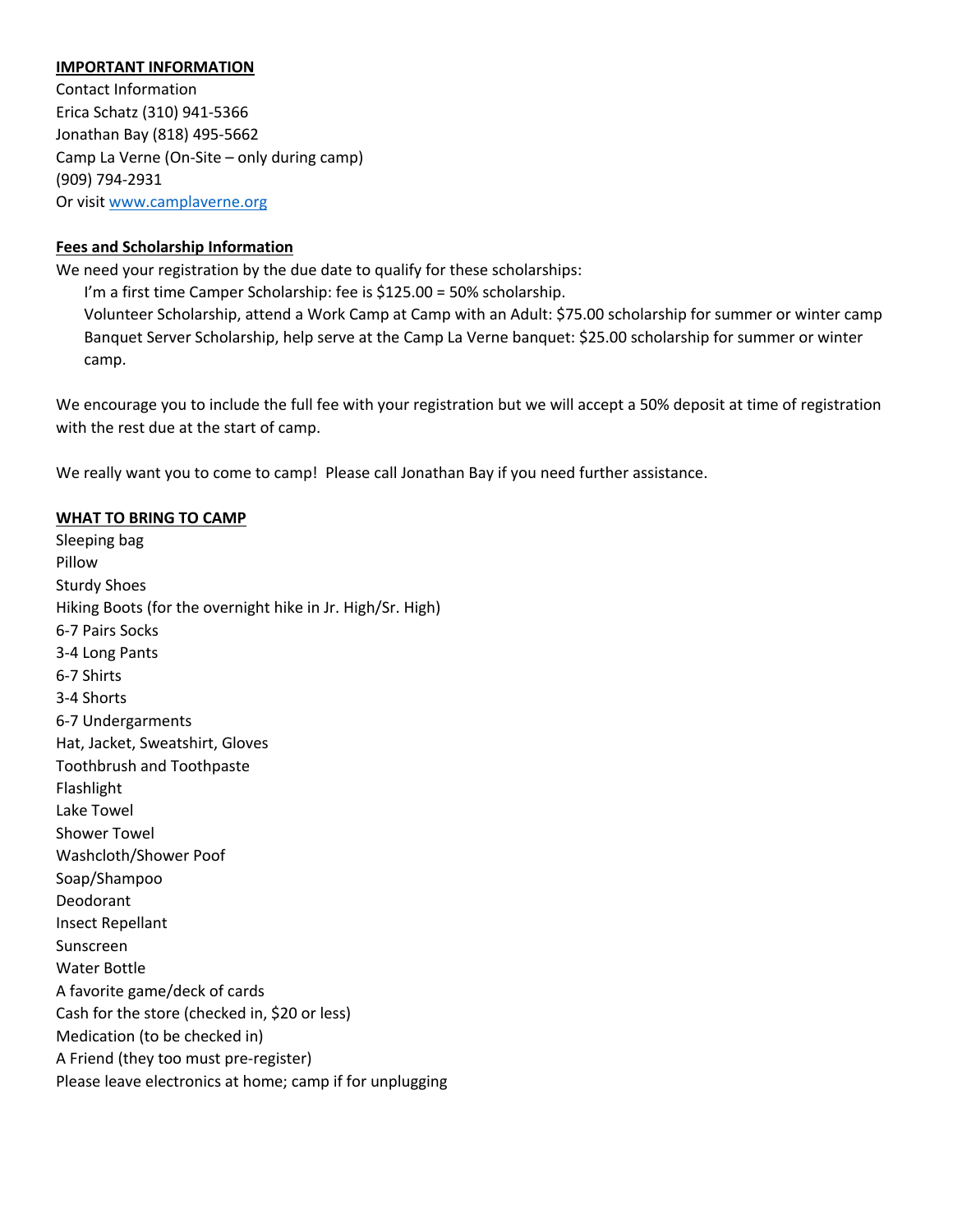#### **IMPORTANT INFORMATION**

Contact Information Erica Schatz (310) 941-5366 Jonathan Bay (818) 495-5662 Camp La Verne (On-Site – only during camp) (909) 794-2931 Or visit [www.camplaverne.org](http://www.camplaverne.org)

### **Fees and Scholarship Information**

We need your registration by the due date to qualify for these scholarships:

I'm a first time Camper Scholarship: fee is \$125.00 = 50% scholarship.

Volunteer Scholarship, attend a Work Camp at Camp with an Adult: \$75.00 scholarship for summer or winter camp Banquet Server Scholarship, help serve at the Camp La Verne banquet: \$25.00 scholarship for summer or winter camp.

We encourage you to include the full fee with your registration but we will accept a 50% deposit at time of registration with the rest due at the start of camp.

We really want you to come to camp! Please call Jonathan Bay if you need further assistance.

#### **WHAT TO BRING TO CAMP**

Sleeping bag Pillow Sturdy Shoes Hiking Boots (for the overnight hike in Jr. High/Sr. High) 6-7 Pairs Socks 3-4 Long Pants 6-7 Shirts 3-4 Shorts 6-7 Undergarments Hat, Jacket, Sweatshirt, Gloves Toothbrush and Toothpaste Flashlight Lake Towel Shower Towel Washcloth/Shower Poof Soap/Shampoo Deodorant Insect Repellant Sunscreen Water Bottle A favorite game/deck of cards Cash for the store (checked in, \$20 or less) Medication (to be checked in) A Friend (they too must pre-register) Please leave electronics at home; camp if for unplugging